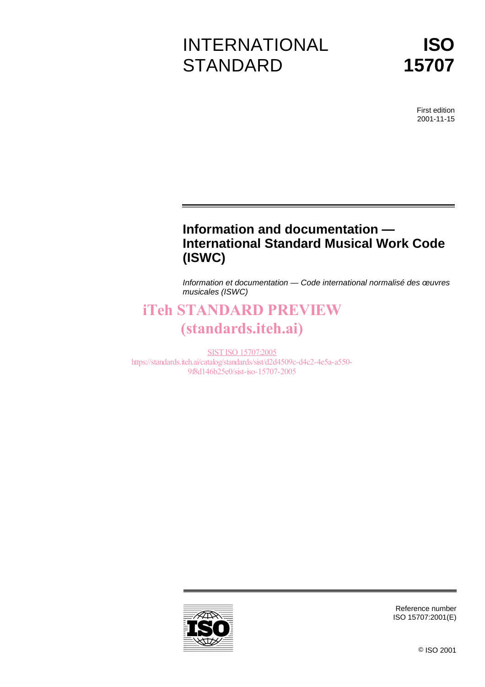# INTERNATIONAL **STANDARD**



First edition 2001-11-15

# **Information and documentation — International Standard Musical Work Code (ISWC)**

Information et documentation — Code international normalisé des œuvres musicales (ISWC)

# iTeh STANDARD PREVIEW (standards.iteh.ai)

SIST ISO 15707:2005 https://standards.iteh.ai/catalog/standards/sist/d2d4509c-d4c2-4e5a-a550- 9f8d146b25e0/sist-iso-15707-2005



Reference number ISO 15707:2001(E)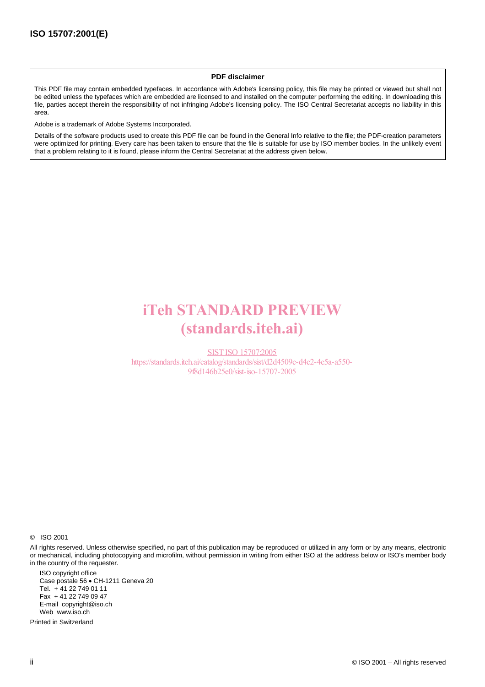#### **PDF disclaimer**

This PDF file may contain embedded typefaces. In accordance with Adobe's licensing policy, this file may be printed or viewed but shall not be edited unless the typefaces which are embedded are licensed to and installed on the computer performing the editing. In downloading this file, parties accept therein the responsibility of not infringing Adobe's licensing policy. The ISO Central Secretariat accepts no liability in this area.

Adobe is a trademark of Adobe Systems Incorporated.

Details of the software products used to create this PDF file can be found in the General Info relative to the file; the PDF-creation parameters were optimized for printing. Every care has been taken to ensure that the file is suitable for use by ISO member bodies. In the unlikely event that a problem relating to it is found, please inform the Central Secretariat at the address given below.

# iTeh STANDARD PREVIEW (standards.iteh.ai)

SIST ISO 15707:2005 https://standards.iteh.ai/catalog/standards/sist/d2d4509c-d4c2-4e5a-a550- 9f8d146b25e0/sist-iso-15707-2005

© ISO 2001

All rights reserved. Unless otherwise specified, no part of this publication may be reproduced or utilized in any form or by any means, electronic or mechanical, including photocopying and microfilm, without permission in writing from either ISO at the address below or ISO's member body in the country of the requester.

ISO copyright office Case postale 56 · CH-1211 Geneva 20 Tel. + 41 22 749 01 11 Fax + 41 22 749 09 47 E-mail copyright@iso.ch Web www.iso.ch

Printed in Switzerland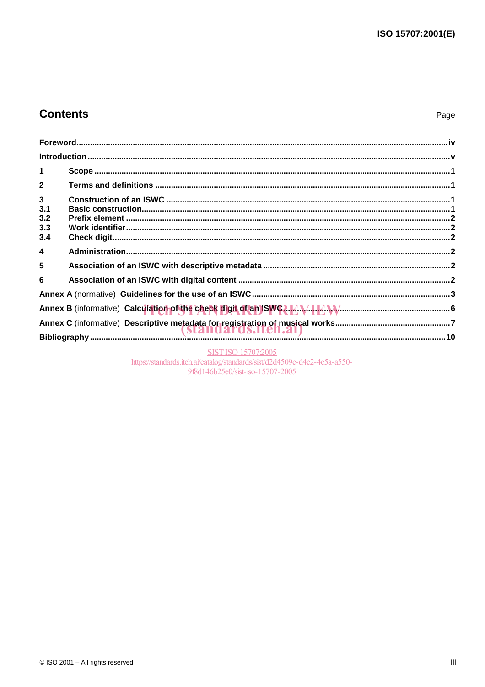# **Contents**

| $\mathbf{1}$                             |                                                                                                |  |
|------------------------------------------|------------------------------------------------------------------------------------------------|--|
| $\mathbf{2}$                             |                                                                                                |  |
| $\mathbf{3}$<br>3.1<br>3.2<br>3.3<br>3.4 |                                                                                                |  |
| $\overline{\mathbf{4}}$                  |                                                                                                |  |
| 5                                        |                                                                                                |  |
| 6                                        |                                                                                                |  |
|                                          |                                                                                                |  |
|                                          | Annex B (informative) Calculation of the check digit of an ISWC2. T. W. M. Communication and S |  |
|                                          |                                                                                                |  |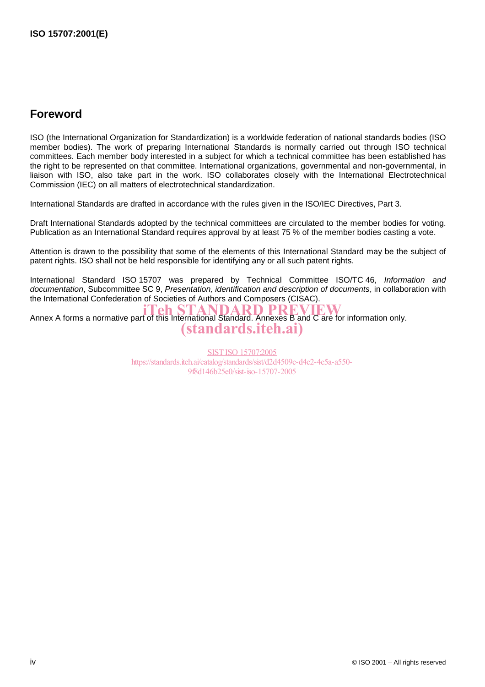# **Foreword**

ISO (the International Organization for Standardization) is a worldwide federation of national standards bodies (ISO member bodies). The work of preparing International Standards is normally carried out through ISO technical committees. Each member body interested in a subject for which a technical committee has been established has the right to be represented on that committee. International organizations, governmental and non-governmental, in liaison with ISO, also take part in the work. ISO collaborates closely with the International Electrotechnical Commission (IEC) on all matters of electrotechnical standardization.

International Standards are drafted in accordance with the rules given in the ISO/IEC Directives, Part 3.

Draft International Standards adopted by the technical committees are circulated to the member bodies for voting. Publication as an International Standard requires approval by at least 75 % of the member bodies casting a vote.

Attention is drawn to the possibility that some of the elements of this International Standard may be the subject of patent rights. ISO shall not be held responsible for identifying any or all such patent rights.

International Standard ISO 15707 was prepared by Technical Committee ISO/TC 46, Information and documentation, Subcommittee SC 9, Presentation, identification and description of documents, in collaboration with the International Confederation of Societies of Authors and Composers (CISAC).

Annex A forms a normative part of this International Standard. Annexes B and C are for information only. (standards.iteh.ai)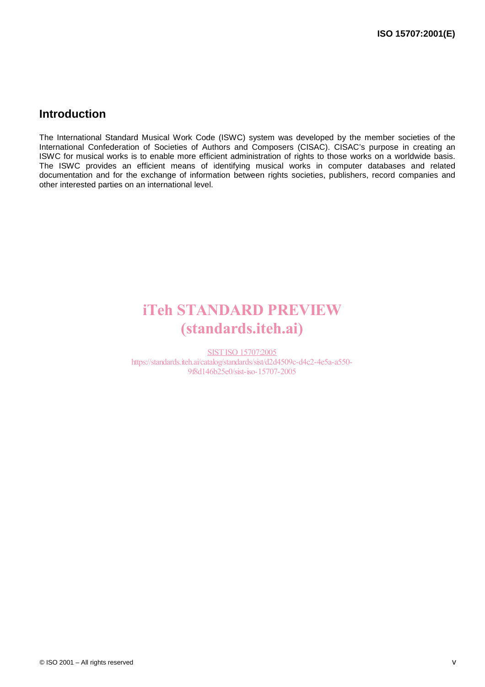## **Introduction**

The International Standard Musical Work Code (ISWC) system was developed by the member societies of the International Confederation of Societies of Authors and Composers (CISAC). CISAC's purpose in creating an ISWC for musical works is to enable more efficient administration of rights to those works on a worldwide basis. The ISWC provides an efficient means of identifying musical works in computer databases and related documentation and for the exchange of information between rights societies, publishers, record companies and other interested parties on an international level.

# iTeh STANDARD PREVIEW (standards.iteh.ai)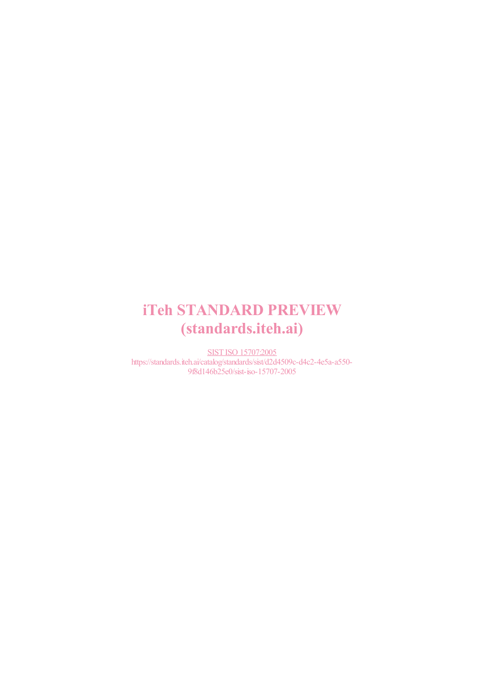# iTeh STANDARD PREVIEW (standards.iteh.ai)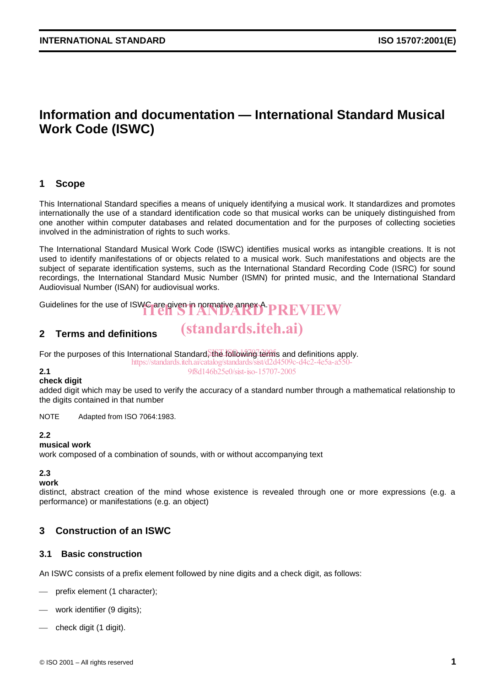# **Information and documentation — International Standard Musical Work Code (ISWC)**

## **1 Scope**

This International Standard specifies a means of uniquely identifying a musical work. It standardizes and promotes internationally the use of a standard identification code so that musical works can be uniquely distinguished from one another within computer databases and related documentation and for the purposes of collecting societies involved in the administration of rights to such works.

The International Standard Musical Work Code (ISWC) identifies musical works as intangible creations. It is not used to identify manifestations of or objects related to a musical work. Such manifestations and objects are the subject of separate identification systems, such as the International Standard Recording Code (ISRC) for sound recordings, the International Standard Music Number (ISMN) for printed music, and the International Standard Audiovisual Number (ISAN) for audiovisual works.

(standards.iteh.ai)

Guidelines for the use of ISWC are given in normative annex A. PREVIEW

## **2 Terms and definitions**

For the purposes of this International Standard, the following terms and definitions apply.

https://standards.iteh.ai/catalog/standards/sist/d2d4509c-d4c2-4e5a-a550- 9f8d146b25e0/sist-iso-15707-2005

#### **2.1 check digit**

added digit which may be used to verify the accuracy of a standard number through a mathematical relationship to the digits contained in that number

NOTE Adapted from ISO 7064:1983.

#### **2.2**

#### **musical work**

work composed of a combination of sounds, with or without accompanying text

## **2.3**

**work**

distinct, abstract creation of the mind whose existence is revealed through one or more expressions (e.g. a performance) or manifestations (e.g. an object)

## **3 Construction of an ISWC**

#### **3.1 Basic construction**

An ISWC consists of a prefix element followed by nine digits and a check digit, as follows:

- prefix element (1 character);
- work identifier (9 digits);
- check digit (1 digit).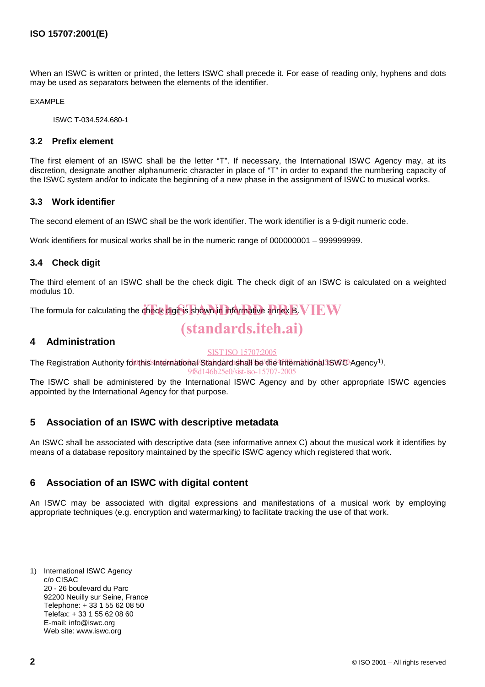When an ISWC is written or printed, the letters ISWC shall precede it. For ease of reading only, hyphens and dots may be used as separators between the elements of the identifier.

EXAMPLE

ISWC T-034.524.680-1

#### **3.2 Prefix element**

The first element of an ISWC shall be the letter "T". If necessary, the International ISWC Agency may, at its discretion, designate another alphanumeric character in place of "T" in order to expand the numbering capacity of the ISWC system and/or to indicate the beginning of a new phase in the assignment of ISWC to musical works.

#### **3.3 Work identifier**

The second element of an ISWC shall be the work identifier. The work identifier is a 9-digit numeric code.

Work identifiers for musical works shall be in the numeric range of 000000001 – 999999999.

### **3.4 Check digit**

The third element of an ISWC shall be the check digit. The check digit of an ISWC is calculated on a weighted modulus 10.

The formula for calculating the check digit is shown in informative annex B. V IE W

# (standards.iteh.ai)

### **4 Administration**

#### SIST ISO 15707:2005

The Registration Authority for this International Standard shall be the International ISWO Agency<sup>1)</sup>.

9f8d146b25e0/sist-iso-15707-2005

The ISWC shall be administered by the International ISWC Agency and by other appropriate ISWC agencies appointed by the International Agency for that purpose.

## **5 Association of an ISWC with descriptive metadata**

An ISWC shall be associated with descriptive data (see informative annex C) about the musical work it identifies by means of a database repository maintained by the specific ISWC agency which registered that work.

## **6 Association of an ISWC with digital content**

An ISWC may be associated with digital expressions and manifestations of a musical work by employing appropriate techniques (e.g. encryption and watermarking) to facilitate tracking the use of that work.

<sup>1)</sup> International ISWC Agency c/o CISAC 20 - 26 boulevard du Parc 92200 Neuilly sur Seine, France Telephone: + 33 1 55 62 08 50 Telefax: + 33 1 55 62 08 60 E-mail: info@iswc.org Web site: www.iswc.org